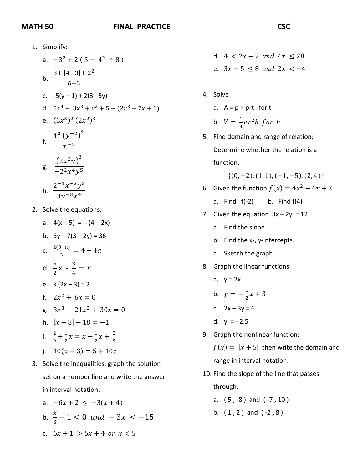## **MATH 50 FINAL PRACTICE**

1. Simplify: a.  $-3^2 + 2(5 - 4^2 \div 8)$ b.  $\frac{3+|4-3|+2^2}{6}$ 6−3 c.  $-5(y + 1) + 2(3 - 5y)$ d.  $5x^4 - 3x^3 + x^2 + 5 - (2x^3 - 7x + 1)$ e.  $(3x^5)^2 (2x^2)^3$ f.  $\frac{4^0 (y^{-2})^4}{x^{-5}}$  $\frac{x}{5}$ g.  $\frac{(2x^2y)^3}{2^2x^4y^5}$  $\frac{y}{-2^2x^4y^5}$ h.  $\frac{2^{-1}x^{-2}y^2}{2x^{-3}y^4}$  $\frac{y}{3y^{-3}x^4}$ 

- 2. Solve the equations:
	- a.  $4(x-5) = -(4-2x)$
	- b.  $5v 7(3 2v) = 36$
	- c.  $\frac{2(8-a)}{3} = 4-4a$
	- d.  $\frac{5}{3}$ 2  $x - \frac{3}{4} = x$
	- e.  $x(2x-3) = 2$
	- f.  $2x^2 + 6x = 0$
	- g.  $3x^3 21x^2 + 30x = 0$
	- h.  $|x-8|-18=-1$
	- i.  $\frac{2}{9} + \frac{1}{2}x = x \frac{1}{2}x + \frac{2}{9}$
	- j.  $10(x-3) = 5 + 10x$
- 3. Solve the inequalities, graph the solution set on a number line and write the answer in interval notation:
	- a.  $-6x + 2 \le -3(x + 4)$
	- b.  $\frac{x}{3} 1 < 0$  and  $-3x < -15$
	- c.  $6x + 1 > 5x + 4$  or  $x < 5$
- d.  $4 < 2x 2$  and  $4x < 28$ e.  $3x - 5 \le 8$  and  $2x < -4$
- 4. Solve
	- a.  $A = p + prt$  for t b.  $V = \frac{1}{3}\pi r^2 h$  for h
- 5. Find domain and range of relation; Determine whether the relation is a function.

 $\{(0, -2), (1, 1), (-1, -5), (2, 4)\}\$ 

- 6. Given the function: $f(x) = 4x^2 6x + 3$ 
	- a. Find  $f(-2)$  b. Find  $f(4)$
- 7. Given the equation  $3x 2y = 12$ 
	- a. Find the slope
	- b. Find the x-, y-intercepts.
	- c. Sketch the graph
- 8. Graph the linear functions:
	- a.  $y = 2x$
	- b.  $y = -\frac{1}{2}x + 3$ 2
	- c.  $2x 3y = 6$
	- d.  $y = -2.5$
- 9. Graph the nonlinear function:

 $f(x) = |x + 5|$  then write the domain and range in interval notation.

10. Find the slope of the line that passes through:

a. ( 5 , -8 ) and ( -7 , 10 )

b.  $(1, 2)$  and  $(-2, 8)$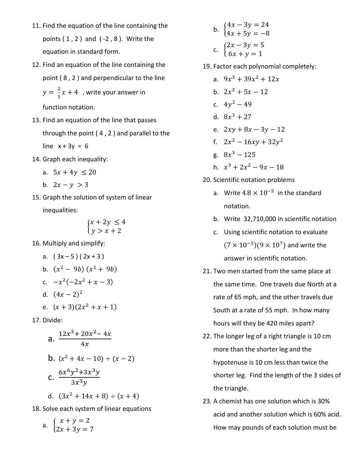- 11. Find the equation of the line containing the points  $(1, 2)$  and  $(-2, 8)$ . Write the equation in standard form.
- 12. Find an equation of the line containing the point ( 8 , 2 ) and perpendicular to the line  $y = \frac{2}{5}x + 4$ , write your answer in

function notation.

- 13. Find an equation of the line that passes through the point ( 4 , 2 ) and parallel to the line  $x + 3y = 6$
- 14. Graph each inequality:
	- a.  $5x + 4y \le 20$
	- b.  $2x y > 3$
- 15. Graph the solution of system of linear inequalities:

$$
\begin{cases} x + 2y \le 4 \\ y > x + 2 \end{cases}
$$

16. Multiply and simplify:

a. 
$$
(3x-5)(2x+3)
$$
  
\nb.  $(x^2 - 9b)(x^2 + 9b)$   
\nc.  $-x^2(-2x^2 + x - 3)$   
\nd.  $(4x - 2)^2$   
\ne.  $(x + 3)(2x^2 + x + 1)$ 

17. Divide:

a. 
$$
\frac{12x^3 + 20x^2 - 4x}{4x}
$$
  
\nb. 
$$
(x^2 + 4x - 10) \div (x - 2)
$$
  
\nc. 
$$
\frac{6x^6y^2 + 3x^3y}{3x^3y}
$$
  
\nd. 
$$
(3x^2 + 14x + 8) \div (x + 4)
$$

18. Solve each system of linear equations

a. 
$$
\begin{cases} x + y = 2 \\ 2x + 3y = 7 \end{cases}
$$

b.  $\begin{cases} 4x - 3y = 24 \\ 4x + 5y = -8 \end{cases}$  $4x + 5y = -8$ c.  $\begin{cases} 2x - 3y = 5 \\ 6x + y = 1 \end{cases}$ 

19. Factor each polynomial completely:

- a.  $9x^3 + 39x^2 + 12x$ b.  $2x^2 + 5x - 12$ c.  $4y^2 - 49$ d.  $8x^3 + 27$ e.  $2xy + 8x - 3y - 12$ f.  $2x^2 - 16xy + 32y^2$ g.  $8x^3 - 125$ h.  $x^3 + 2x^2 - 9x - 18$
- 20. Scientific notation problems
	- a. Write  $4.8 \times 10^{-5}$  in the standard notation.
	- b. Write 32,710,000 in scientific notation
	- c. Using scientific notation to evaluate  $(7 \times 10^{-5})$ (9 × 10<sup>7</sup>) and write the answer in scientific notation.
- 21. Two men started from the same place at the same time. One travels due North at a rate of 65 mph, and the other travels due South at a rate of 55 mph. In how many hours will they be 420 miles apart?
- 22. The longer leg of a right triangle is 10 cm more than the shorter leg and the hypotenuse is 10 cm less than twice the shorter leg. Find the length of the 3 sides of the triangle.
- 23. A chemist has one solution which is 30% acid and another solution which is 60% acid. How may pounds of each solution must be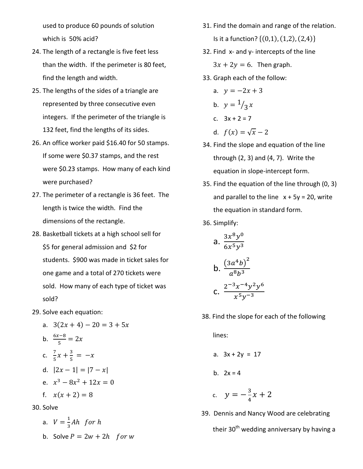used to produce 60 pounds of solution which is 50% acid?

- 24. The length of a rectangle is five feet less than the width. If the perimeter is 80 feet, find the length and width.
- 25. The lengths of the sides of a triangle are represented by three consecutive even integers. If the perimeter of the triangle is 132 feet, find the lengths of its sides.
- 26. An office worker paid \$16.40 for 50 stamps. If some were \$0.37 stamps, and the rest were \$0.23 stamps. How many of each kind were purchased?
- 27. The perimeter of a rectangle is 36 feet. The length is twice the width. Find the dimensions of the rectangle.
- 28. Basketball tickets at a high school sell for \$5 for general admission and \$2 for students. \$900 was made in ticket sales for one game and a total of 270 tickets were sold. How many of each type of ticket was sold?
- 29. Solve each equation:
	- a.  $3(2x + 4) 20 = 3 + 5x$ b.  $\frac{6x-8}{5} = 2x$ c.  $\frac{7}{5}$  $\frac{7}{5}x + \frac{3}{5} = -x$ d.  $|2x - 1| = |7 - x|$ e.  $x^3 - 8x^2 + 12x = 0$ f.  $x(x + 2) = 8$

30. Solve

a. 
$$
V = \frac{1}{3}Ah
$$
 for h  
b. Solve  $P = 2w + 2h$  for w

- 31. Find the domain and range of the relation. Is it a function?  $\{(0,1), (1,2), (2,4)\}\$
- 32. Find x- and y- intercepts of the line  $3x + 2y = 6$ . Then graph.
- 33. Graph each of the follow:
	- a.  $y = -2x + 3$ b.  $y = \frac{1}{3}x$
	- c. 3x + 2 = 7
	- d.  $f(x) = \sqrt{x} 2$
- 34. Find the slope and equation of the line through (2, 3) and (4, 7). Write the equation in slope-intercept form.
- 35. Find the equation of the line through (0, 3) and parallel to the line  $x + 5y = 20$ , write the equation in standard form.
- 36. Simplify:

a. 
$$
\frac{3x^8y^0}{6x^5y^3}
$$
  
b. 
$$
\frac{(3a^4b)^2}{a^8b^3}
$$
  
c. 
$$
\frac{2^{-3}x^{-4}y^2y^6}{x^5y^{-3}}
$$

38. Find the slope for each of the following

lines:

- a.  $3x + 2y = 17$
- b.  $2x = 4$
- c.  $y = -\frac{3}{4}x + 2$ 
	- 39. Dennis and Nancy Wood are celebrating their 30<sup>th</sup> wedding anniversary by having a